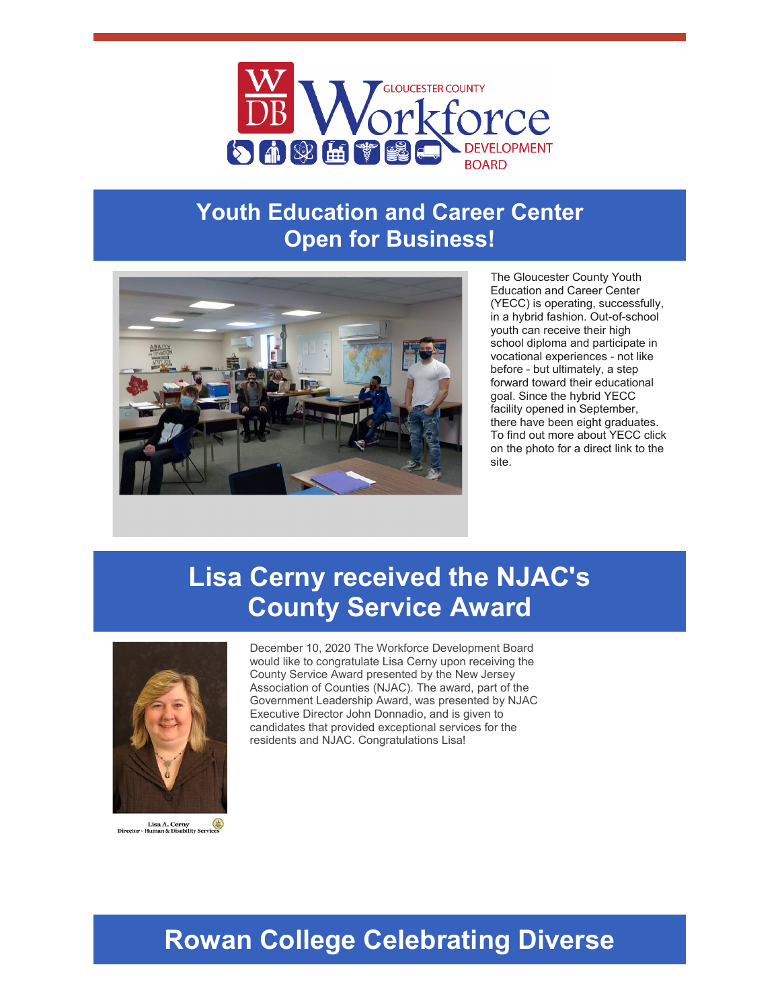

#### **Youth Education and Career Center Open for Business!**



The Gloucester County Youth Education and Career Center (YECC) is operating, successfully, in a hybrid fashion. Out-of-school youth can receive their high school diploma and participate in vocational experiences - not like before - but ultimately, a step forward toward their educational goal. Since the hybrid YECC facility opened in September, there have been eight graduates. To find out more about YECC click on the photo for a direct link to the site.

# **Lisa Cerny received the NJAC's County Service Award**



Lisa A. Cerny<br>Director - Human & Disability Servic

December 10, 2020 The Workforce Development Board would like to congratulate Lisa Cerny upon receiving the County Service Award presented by the New Jersey Association of Counties (NJAC). The award, part of the Government Leadership Award, was presented by NJAC Executive Director John Donnadio, and is given to candidates that provided exceptional services for the residents and NJAC. Congratulations Lisa!

## **Rowan College Celebrating Diverse**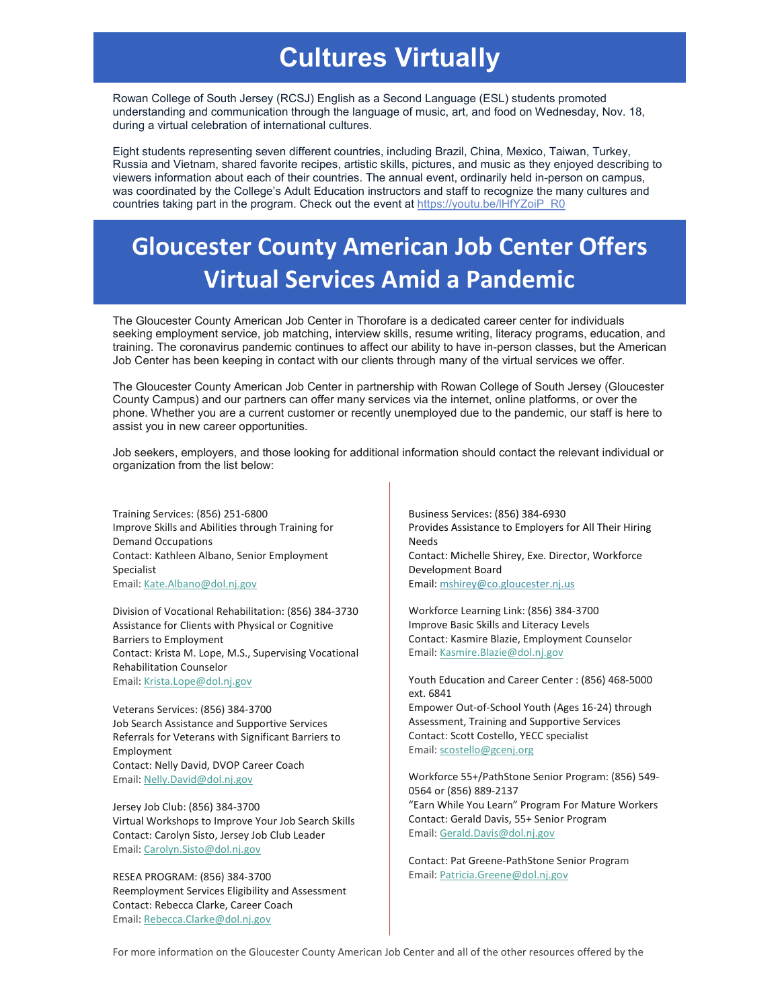## **Cultures Virtually**

Rowan College of South Jersey (RCSJ) English as a Second Language (ESL) students promoted understanding and communication through the language of music, art, and food on Wednesday, Nov. 18, during a virtual celebration of international cultures.

Eight students representing seven different countries, including Brazil, China, Mexico, Taiwan, Turkey, Russia and Vietnam, shared favorite recipes, artistic skills, pictures, and music as they enjoyed describing to viewers information about each of their countries. The annual event, ordinarily held in-person on campus, was coordinated by the College's Adult Education instructors and staff to recognize the many cultures and countries taking part in the program. Check out the event at https://youtu.be/IHfYZoiP\_R0

## **Gloucester County American Job Center Offers Virtual Services Amid a Pandemic**

The Gloucester County American Job Center in Thorofare is a dedicated career center for individuals seeking employment service, job matching, interview skills, resume writing, literacy programs, education, and training. The coronavirus pandemic continues to affect our ability to have in-person classes, but the American Job Center has been keeping in contact with our clients through many of the virtual services we offer.

The Gloucester County American Job Center in partnership with Rowan College of South Jersey (Gloucester County Campus) and our partners can offer many services via the internet, online platforms, or over the phone. Whether you are a current customer or recently unemployed due to the pandemic, our staff is here to assist you in new career opportunities.

Job seekers, employers, and those looking for additional information should contact the relevant individual or organization from the list below:

Training Services: (856) 251-6800 Improve Skills and Abilities through Training for Demand Occupations Contact: Kathleen Albano, Senior Employment Specialist Email: [Kate.Albano@dol.nj.gov](mailto:Kate.Albano@dol.nj.gov)

Division of Vocational Rehabilitation: (856) 384-3730 Assistance for Clients with Physical or Cognitive Barriers to Employment Contact: Krista M. Lope, M.S., Supervising Vocational Rehabilitation Counselor Email: [Krista.Lope@dol.nj.gov](mailto:Krista.Lope@dol.nj.gov)

Veterans Services: (856) 384-3700 Job Search Assistance and Supportive Services Referrals for Veterans with Significant Barriers to Employment Contact: Nelly David, DVOP Career Coach Email: [Nelly.David@dol.nj.gov](mailto:Nelly.David@dol.nj.gov)

Jersey Job Club: (856) 384-3700 Virtual Workshops to Improve Your Job Search Skills Contact: Carolyn Sisto, Jersey Job Club Leader Email: [Carolyn.Sisto@dol.nj.gov](mailto:Carolyn.Sisto@dol.nj.gov)

RESEA PROGRAM: (856) 384-3700 Reemployment Services Eligibility and Assessment Contact: Rebecca Clarke, Career Coach Email: [Rebecca.Clarke@dol.nj.gov](mailto:Rebecca.Clarke@dol.nj.gov)

Business Services: (856) 384-6930 Provides Assistance to Employers for All Their Hiring Needs Contact: Michelle Shirey, Exe. Director, Workforce Development Board Email[: mshirey@co.gloucester.nj.us](mailto:mshirey@co.gloucester.nj.us)

Workforce Learning Link: (856) 384-3700 Improve Basic Skills and Literacy Levels Contact: Kasmire Blazie, Employment Counselor Email: [Kasmire.Blazie@dol.nj.gov](mailto:Kasmire.Blazie@dol.nj.gov)

Youth Education and Career Center : (856) 468-5000 ext. 6841 Empower Out-of-School Youth (Ages 16-24) through Assessment, Training and Supportive Services Contact: Scott Costello, YECC specialist Email: [scostello@gcenj.org](mailto:scostello@gcenj.org)

Workforce 55+/PathStone Senior Program: (856) 549- 0564 or (856) 889-2137 "Earn While You Learn" Program For Mature Workers Contact: Gerald Davis, 55+ Senior Program Email: [Gerald.Davis@dol.nj.gov](mailto:Gerald.Davis@dol.nj.gov)

Contact: Pat Greene-PathStone Senior Program Email[: Patricia.Greene@dol.nj.gov](mailto:Patricia.Greene@dol.nj.gov)

For more information on the Gloucester County American Job Center and all of the other resources offered by the